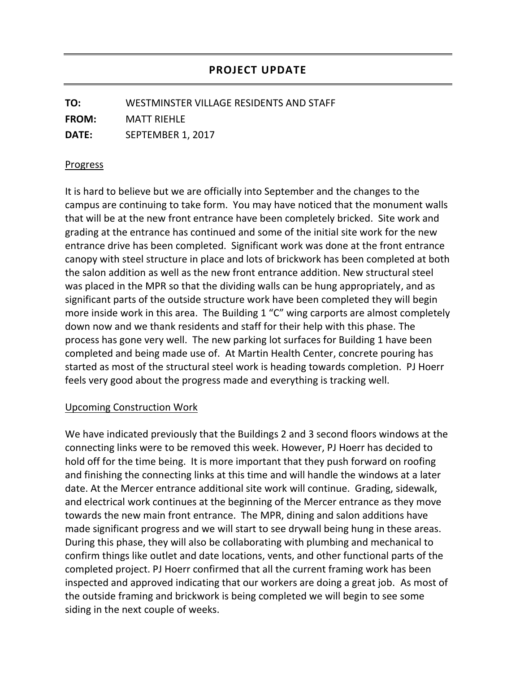**TO:** WESTMINSTER VILLAGE RESIDENTS AND STAFF **FROM:** MATT RIEHLE **DATE:** SEPTEMBER 1, 2017

## Progress

It is hard to believe but we are officially into September and the changes to the campus are continuing to take form. You may have noticed that the monument walls that will be at the new front entrance have been completely bricked. Site work and grading at the entrance has continued and some of the initial site work for the new entrance drive has been completed. Significant work was done at the front entrance canopy with steel structure in place and lots of brickwork has been completed at both the salon addition as well as the new front entrance addition. New structural steel was placed in the MPR so that the dividing walls can be hung appropriately, and as significant parts of the outside structure work have been completed they will begin more inside work in this area. The Building 1 "C" wing carports are almost completely down now and we thank residents and staff for their help with this phase. The process has gone very well. The new parking lot surfaces for Building 1 have been completed and being made use of. At Martin Health Center, concrete pouring has started as most of the structural steel work is heading towards completion. PJ Hoerr feels very good about the progress made and everything is tracking well.

## Upcoming Construction Work

We have indicated previously that the Buildings 2 and 3 second floors windows at the connecting links were to be removed this week. However, PJ Hoerr has decided to hold off for the time being. It is more important that they push forward on roofing and finishing the connecting links at this time and will handle the windows at a later date. At the Mercer entrance additional site work will continue. Grading, sidewalk, and electrical work continues at the beginning of the Mercer entrance as they move towards the new main front entrance. The MPR, dining and salon additions have made significant progress and we will start to see drywall being hung in these areas. During this phase, they will also be collaborating with plumbing and mechanical to confirm things like outlet and date locations, vents, and other functional parts of the completed project. PJ Hoerr confirmed that all the current framing work has been inspected and approved indicating that our workers are doing a great job. As most of the outside framing and brickwork is being completed we will begin to see some siding in the next couple of weeks.